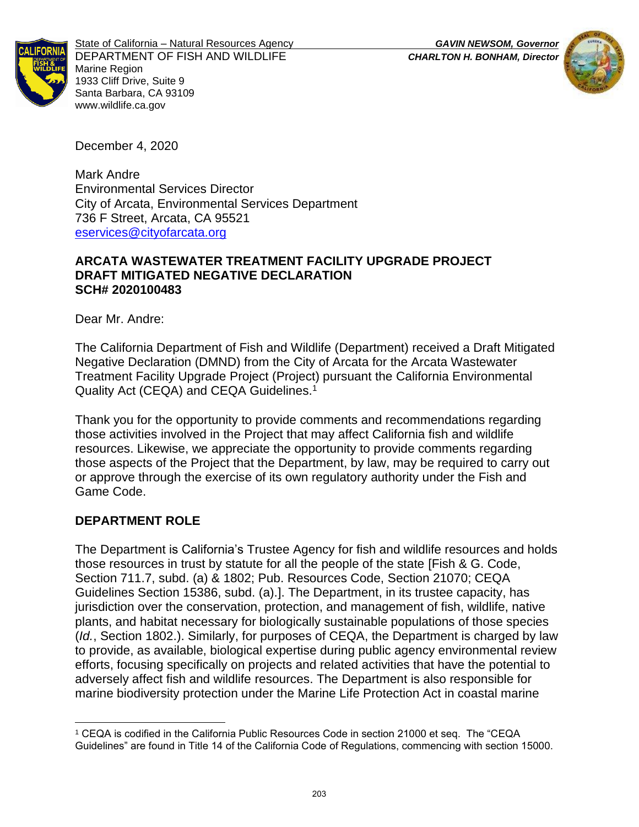



State of California – Natural Resources Agency *GAVIN NEWSOM, Governor* DEPARTMENT OF FISH AND WILDLIFE *CHARLTON H. BONHAM, Director* Marine Region 1933 Cliff Drive, Suite 9 Santa Barbara, CA 93109 www.wildlife.ca.gov

December 4, 2020

Mark Andre Environmental Services Director City of Arcata, Environmental Services Department 736 F Street, Arcata, CA 95521 [eservices@cityofarcata.org](mailto:eservices@cityofarcata.org)

#### **ARCATA WASTEWATER TREATMENT FACILITY UPGRADE PROJECT DRAFT MITIGATED NEGATIVE DECLARATION SCH# 2020100483**

Dear Mr. Andre:

The California Department of Fish and Wildlife (Department) received a Draft Mitigated Negative Declaration (DMND) from the City of Arcata for the Arcata Wastewater Treatment Facility Upgrade Project (Project) pursuant the California Environmental Quality Act (CEQA) and CEQA Guidelines.<sup>1</sup>

Thank you for the opportunity to provide comments and recommendations regarding those activities involved in the Project that may affect California fish and wildlife resources. Likewise, we appreciate the opportunity to provide comments regarding those aspects of the Project that the Department, by law, may be required to carry out or approve through the exercise of its own regulatory authority under the Fish and Game Code.

### **DEPARTMENT ROLE**

The Department is California's Trustee Agency for fish and wildlife resources and holds those resources in trust by statute for all the people of the state [Fish & G. Code, Section 711.7, subd. (a) & 1802; Pub. Resources Code, Section 21070; CEQA Guidelines Section 15386, subd. (a).]. The Department, in its trustee capacity, has jurisdiction over the conservation, protection, and management of fish, wildlife, native plants, and habitat necessary for biologically sustainable populations of those species (*Id.*, Section 1802.). Similarly, for purposes of CEQA, the Department is charged by law to provide, as available, biological expertise during public agency environmental review efforts, focusing specifically on projects and related activities that have the potential to adversely affect fish and wildlife resources. The Department is also responsible for marine biodiversity protection under the Marine Life Protection Act in coastal marine

<sup>1</sup> CEQA is codified in the California Public Resources Code in section 21000 et seq. The "CEQA Guidelines" are found in Title 14 of the California Code of Regulations, commencing with section 15000.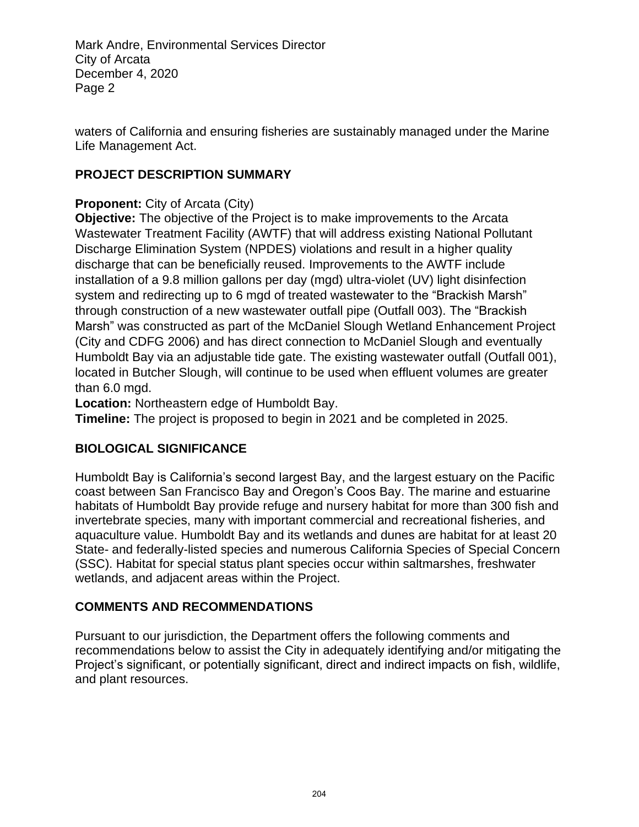waters of California and ensuring fisheries are sustainably managed under the Marine Life Management Act.

### **PROJECT DESCRIPTION SUMMARY**

## **Proponent:** City of Arcata (City)

**Objective:** The objective of the Project is to make improvements to the Arcata Wastewater Treatment Facility (AWTF) that will address existing National Pollutant Discharge Elimination System (NPDES) violations and result in a higher quality discharge that can be beneficially reused. Improvements to the AWTF include installation of a 9.8 million gallons per day (mgd) ultra-violet (UV) light disinfection system and redirecting up to 6 mgd of treated wastewater to the "Brackish Marsh" through construction of a new wastewater outfall pipe (Outfall 003). The "Brackish Marsh" was constructed as part of the McDaniel Slough Wetland Enhancement Project (City and CDFG 2006) and has direct connection to McDaniel Slough and eventually Humboldt Bay via an adjustable tide gate. The existing wastewater outfall (Outfall 001), located in Butcher Slough, will continue to be used when effluent volumes are greater than 6.0 mgd.

**Location:** Northeastern edge of Humboldt Bay.

**Timeline:** The project is proposed to begin in 2021 and be completed in 2025.

# **BIOLOGICAL SIGNIFICANCE**

Humboldt Bay is California's second largest Bay, and the largest estuary on the Pacific coast between San Francisco Bay and Oregon's Coos Bay. The marine and estuarine habitats of Humboldt Bay provide refuge and nursery habitat for more than 300 fish and invertebrate species, many with important commercial and recreational fisheries, and aquaculture value. Humboldt Bay and its wetlands and dunes are habitat for at least 20 State- and federally-listed species and numerous California Species of Special Concern (SSC). Habitat for special status plant species occur within saltmarshes, freshwater wetlands, and adjacent areas within the Project.

# **COMMENTS AND RECOMMENDATIONS**

Pursuant to our jurisdiction, the Department offers the following comments and recommendations below to assist the City in adequately identifying and/or mitigating the Project's significant, or potentially significant, direct and indirect impacts on fish, wildlife, and plant resources.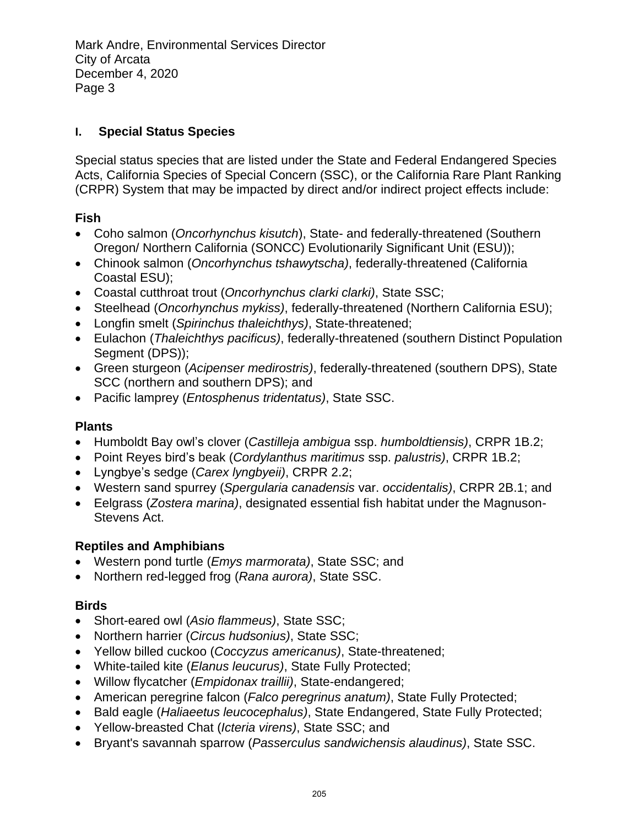### **I. Special Status Species**

Special status species that are listed under the State and Federal Endangered Species Acts, California Species of Special Concern (SSC), or the California Rare Plant Ranking (CRPR) System that may be impacted by direct and/or indirect project effects include:

### **Fish**

- Coho salmon (*Oncorhynchus kisutch*), State- and federally-threatened (Southern Oregon/ Northern California (SONCC) Evolutionarily Significant Unit (ESU));
- Chinook salmon (*Oncorhynchus tshawytscha)*, federally-threatened (California Coastal ESU);
- Coastal cutthroat trout (*Oncorhynchus clarki clarki)*, State SSC;
- Steelhead (*Oncorhynchus mykiss)*, federally-threatened (Northern California ESU);
- Longfin smelt (*Spirinchus thaleichthys)*, State-threatened;
- Eulachon (*Thaleichthys pacificus)*, federally-threatened (southern Distinct Population Segment (DPS));
- Green sturgeon (*Acipenser medirostris)*, federally-threatened (southern DPS), State SCC (northern and southern DPS); and
- Pacific lamprey (*Entosphenus tridentatus)*, State SSC.

# **Plants**

- Humboldt Bay owl's clover (*Castilleja ambigua* ssp. *humboldtiensis)*, CRPR 1B.2;
- Point Reyes bird's beak (*Cordylanthus maritimus* ssp. *palustris)*, CRPR 1B.2;
- Lyngbye's sedge (*Carex lyngbyeii)*, CRPR 2.2;
- Western sand spurrey (*Spergularia canadensis* var. *occidentalis)*, CRPR 2B.1; and
- Eelgrass (*Zostera marina)*, designated essential fish habitat under the Magnuson-Stevens Act.

# **Reptiles and Amphibians**

- Western pond turtle (*Emys marmorata)*, State SSC; and
- Northern red-legged frog (*Rana aurora)*, State SSC.

### **Birds**

- Short-eared owl (*Asio flammeus)*, State SSC;
- Northern harrier (*Circus hudsonius)*, State SSC;
- Yellow billed cuckoo (*Coccyzus americanus)*, State-threatened;
- White-tailed kite (*Elanus leucurus)*, State Fully Protected;
- Willow flycatcher (*Empidonax traillii)*, State-endangered;
- American peregrine falcon (*Falco peregrinus anatum)*, State Fully Protected;
- Bald eagle (*Haliaeetus leucocephalus)*, State Endangered, State Fully Protected;
- Yellow-breasted Chat (*Icteria virens)*, State SSC; and
- Bryant's savannah sparrow (*Passerculus sandwichensis alaudinus)*, State SSC.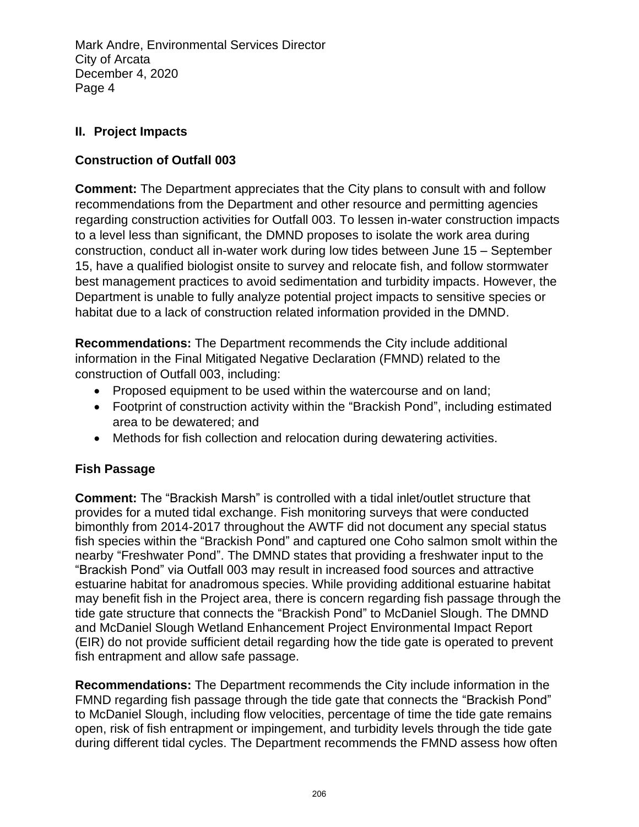### **II. Project Impacts**

## **Construction of Outfall 003**

**Comment:** The Department appreciates that the City plans to consult with and follow recommendations from the Department and other resource and permitting agencies regarding construction activities for Outfall 003. To lessen in-water construction impacts to a level less than significant, the DMND proposes to isolate the work area during construction, conduct all in-water work during low tides between June 15 – September 15, have a qualified biologist onsite to survey and relocate fish, and follow stormwater best management practices to avoid sedimentation and turbidity impacts. However, the Department is unable to fully analyze potential project impacts to sensitive species or habitat due to a lack of construction related information provided in the DMND.

**Recommendations:** The Department recommends the City include additional information in the Final Mitigated Negative Declaration (FMND) related to the construction of Outfall 003, including:

- Proposed equipment to be used within the watercourse and on land;
- Footprint of construction activity within the "Brackish Pond", including estimated area to be dewatered; and
- Methods for fish collection and relocation during dewatering activities.

### **Fish Passage**

**Comment:** The "Brackish Marsh" is controlled with a tidal inlet/outlet structure that provides for a muted tidal exchange. Fish monitoring surveys that were conducted bimonthly from 2014-2017 throughout the AWTF did not document any special status fish species within the "Brackish Pond" and captured one Coho salmon smolt within the nearby "Freshwater Pond". The DMND states that providing a freshwater input to the "Brackish Pond" via Outfall 003 may result in increased food sources and attractive estuarine habitat for anadromous species. While providing additional estuarine habitat may benefit fish in the Project area, there is concern regarding fish passage through the tide gate structure that connects the "Brackish Pond" to McDaniel Slough. The DMND and McDaniel Slough Wetland Enhancement Project Environmental Impact Report (EIR) do not provide sufficient detail regarding how the tide gate is operated to prevent fish entrapment and allow safe passage.

**Recommendations:** The Department recommends the City include information in the FMND regarding fish passage through the tide gate that connects the "Brackish Pond" to McDaniel Slough, including flow velocities, percentage of time the tide gate remains open, risk of fish entrapment or impingement, and turbidity levels through the tide gate during different tidal cycles. The Department recommends the FMND assess how often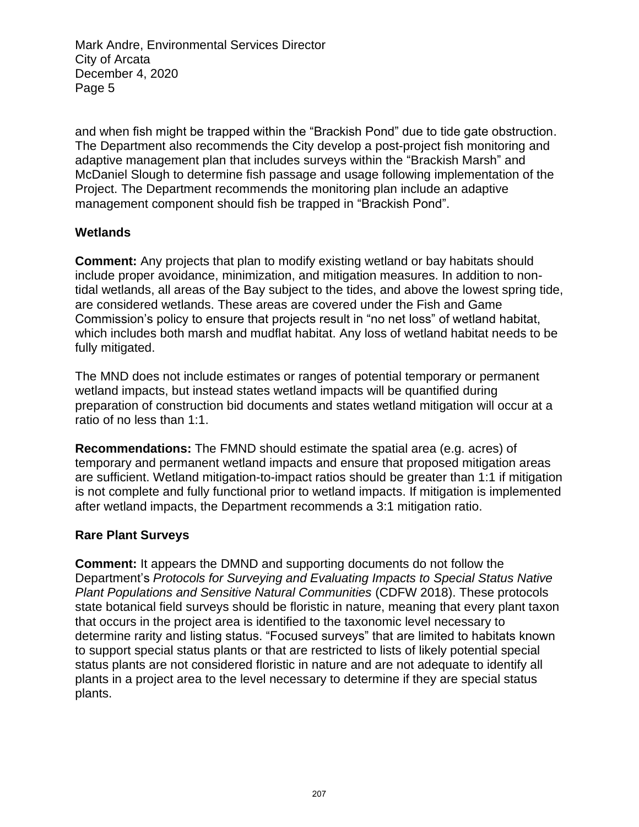and when fish might be trapped within the "Brackish Pond" due to tide gate obstruction. The Department also recommends the City develop a post-project fish monitoring and adaptive management plan that includes surveys within the "Brackish Marsh" and McDaniel Slough to determine fish passage and usage following implementation of the Project. The Department recommends the monitoring plan include an adaptive management component should fish be trapped in "Brackish Pond".

#### **Wetlands**

**Comment:** Any projects that plan to modify existing wetland or bay habitats should include proper avoidance, minimization, and mitigation measures. In addition to nontidal wetlands, all areas of the Bay subject to the tides, and above the lowest spring tide, are considered wetlands. These areas are covered under the Fish and Game Commission's policy to ensure that projects result in "no net loss" of wetland habitat, which includes both marsh and mudflat habitat. Any loss of wetland habitat needs to be fully mitigated.

The MND does not include estimates or ranges of potential temporary or permanent wetland impacts, but instead states wetland impacts will be quantified during preparation of construction bid documents and states wetland mitigation will occur at a ratio of no less than 1:1.

**Recommendations:** The FMND should estimate the spatial area (e.g. acres) of temporary and permanent wetland impacts and ensure that proposed mitigation areas are sufficient. Wetland mitigation-to-impact ratios should be greater than 1:1 if mitigation is not complete and fully functional prior to wetland impacts. If mitigation is implemented after wetland impacts, the Department recommends a 3:1 mitigation ratio.

#### **Rare Plant Surveys**

**Comment:** It appears the DMND and supporting documents do not follow the Department's *Protocols for Surveying and Evaluating Impacts to Special Status Native Plant Populations and Sensitive Natural Communities* (CDFW 2018). These protocols state botanical field surveys should be floristic in nature, meaning that every plant taxon that occurs in the project area is identified to the taxonomic level necessary to determine rarity and listing status. "Focused surveys" that are limited to habitats known to support special status plants or that are restricted to lists of likely potential special status plants are not considered floristic in nature and are not adequate to identify all plants in a project area to the level necessary to determine if they are special status plants.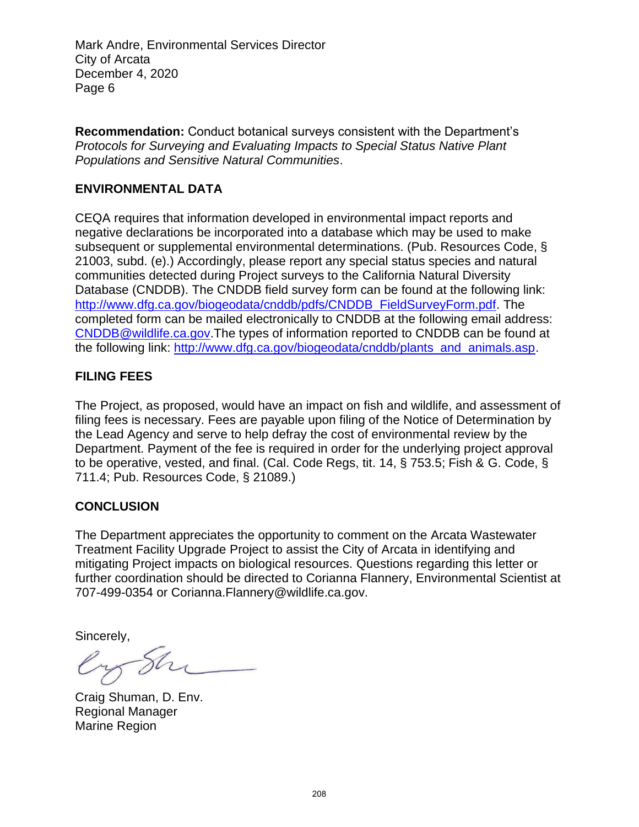**Recommendation:** Conduct botanical surveys consistent with the Department's *Protocols for Surveying and Evaluating Impacts to Special Status Native Plant Populations and Sensitive Natural Communities*.

#### **ENVIRONMENTAL DATA**

CEQA requires that information developed in environmental impact reports and negative declarations be incorporated into a database which may be used to make subsequent or supplemental environmental determinations. (Pub. Resources Code, § 21003, subd. (e).) Accordingly, please report any special status species and natural communities detected during Project surveys to the California Natural Diversity Database (CNDDB). The CNDDB field survey form can be found at the following link: [http://www.dfg.ca.gov/biogeodata/cnddb/pdfs/CNDDB\\_FieldSurveyForm.pdf.](http://www.dfg.ca.gov/biogeodata/cnddb/pdfs/CNDDB_FieldSurveyForm.pdf) The completed form can be mailed electronically to CNDDB at the following email address: [CNDDB@wildlife.ca.gov.](mailto:CNDDB@wildlife.ca.gov)The types of information reported to CNDDB can be found at the following link: [http://www.dfg.ca.gov/biogeodata/cnddb/plants\\_and\\_animals.asp.](http://www.dfg.ca.gov/biogeodata/cnddb/plants_and_animals.asp)

#### **FILING FEES**

The Project, as proposed, would have an impact on fish and wildlife, and assessment of filing fees is necessary. Fees are payable upon filing of the Notice of Determination by the Lead Agency and serve to help defray the cost of environmental review by the Department. Payment of the fee is required in order for the underlying project approval to be operative, vested, and final. (Cal. Code Regs, tit. 14, § 753.5; Fish & G. Code, § 711.4; Pub. Resources Code, § 21089.)

#### **CONCLUSION**

The Department appreciates the opportunity to comment on the Arcata Wastewater Treatment Facility Upgrade Project to assist the City of Arcata in identifying and mitigating Project impacts on biological resources. Questions regarding this letter or further coordination should be directed to Corianna Flannery, Environmental Scientist at 707-499-0354 or Corianna.Flannery@wildlife.ca.gov.

Sincerely,

Craig Shuman, D. Env. Regional Manager Marine Region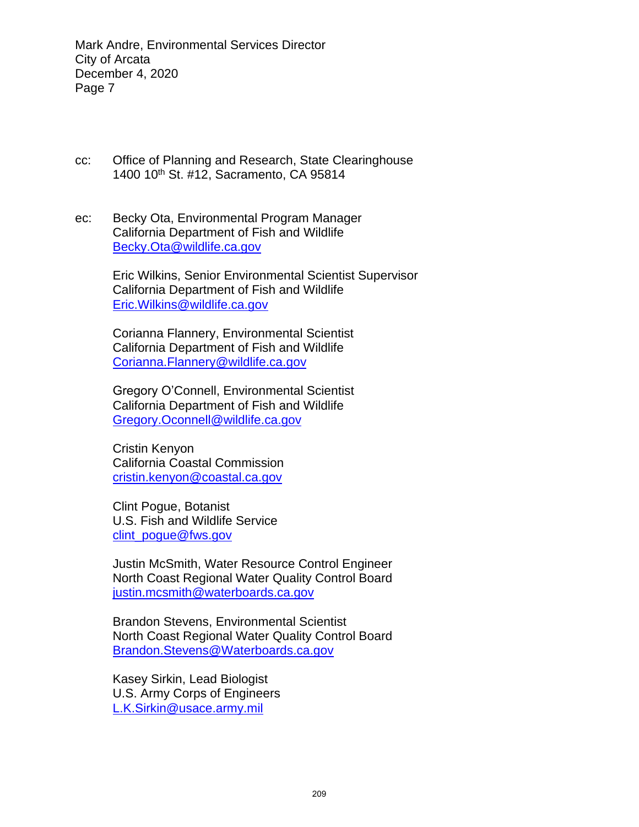- cc: Office of Planning and Research, State Clearinghouse 1400 10<sup>th</sup> St. #12, Sacramento, CA 95814
- ec: Becky Ota, Environmental Program Manager California Department of Fish and Wildlife [Becky.Ota@wildlife.ca.gov](mailto:Becky.Ota@wildlife.ca.gov)

Eric Wilkins, Senior Environmental Scientist Supervisor California Department of Fish and Wildlife [Eric.Wilkins@wildlife.ca.gov](mailto:Eric.Wilkins@wildlife.ca.gov)

Corianna Flannery, Environmental Scientist California Department of Fish and Wildlife [Corianna.Flannery@wildlife.ca.gov](mailto:Corianna.Flannery@wildlife.ca.gov)

Gregory O'Connell, Environmental Scientist California Department of Fish and Wildlife [Gregory.Oconnell@wildlife.ca.gov](mailto:Corianna.Flannery@wildlife.ca.gov)

Cristin Kenyon California Coastal Commission cristin.kenyon@coastal.ca.gov

Clint Pogue, Botanist U.S. Fish and Wildlife Service clint\_poque@fws.gov

Justin McSmith, Water Resource Control Engineer North Coast Regional Water Quality Control Board [justin.mcsmith@waterboards.ca.gov](mailto:justin.mcsmith@waterboards.ca.gov)

Brandon Stevens, Environmental Scientist North Coast Regional Water Quality Control Board [Brandon.Stevens@Waterboards.ca.gov](mailto:Brandon.Stevens@Waterboards.ca.gov)

Kasey Sirkin, Lead Biologist U.S. Army Corps of Engineers [L.K.Sirkin@usace.army.mil](mailto:L.K.Sirkin@usace.army.mil)